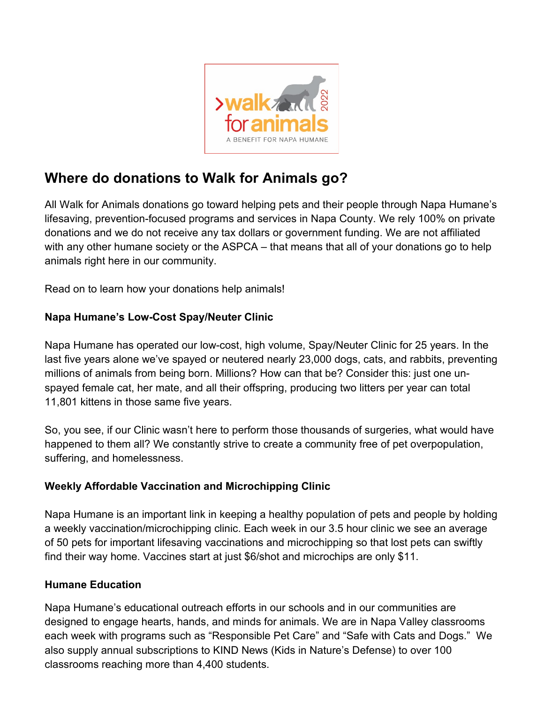

# **Where do donations to Walk for Animals go?**

All Walk for Animals donations go toward helping pets and their people through Napa Humane's lifesaving, prevention-focused programs and services in Napa County. We rely 100% on private donations and we do not receive any tax dollars or government funding. We are not affiliated with any other humane society or the ASPCA – that means that all of your donations go to help animals right here in our community.

Read on to learn how your donations help animals!

### **Napa Humane's Low-Cost Spay/Neuter Clinic**

Napa Humane has operated our low-cost, high volume, Spay/Neuter Clinic for 25 years. In the last five years alone we've spayed or neutered nearly 23,000 dogs, cats, and rabbits, preventing millions of animals from being born. Millions? How can that be? Consider this: just one unspayed female cat, her mate, and all their offspring, producing two litters per year can total 11,801 kittens in those same five years.

So, you see, if our Clinic wasn't here to perform those thousands of surgeries, what would have happened to them all? We constantly strive to create a community free of pet overpopulation, suffering, and homelessness.

# **Weekly Affordable Vaccination and Microchipping Clinic**

Napa Humane is an important link in keeping a healthy population of pets and people by holding a weekly vaccination/microchipping clinic. Each week in our 3.5 hour clinic we see an average of 50 pets for important lifesaving vaccinations and microchipping so that lost pets can swiftly find their way home. Vaccines start at just \$6/shot and microchips are only \$11.

#### **Humane Education**

Napa Humane's educational outreach efforts in our schools and in our communities are designed to engage hearts, hands, and minds for animals. We are in Napa Valley classrooms each week with programs such as "Responsible Pet Care" and "Safe with Cats and Dogs." We also supply annual subscriptions to KIND News (Kids in Nature's Defense) to over 100 classrooms reaching more than 4,400 students.